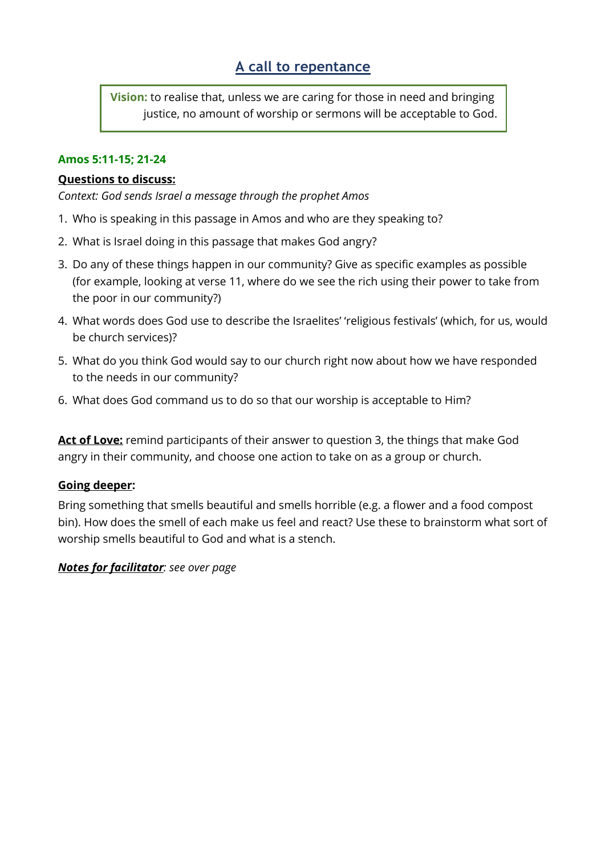**Vision:** to realise that, unless we are caring for those in need and bringing justice, no amount of worship or sermons will be acceptable to God.

## **Amos 5:11-15; 21-24**

### **Questions to discuss:**

*Context: God sends Israel a message through the prophet Amos*

- 1. Who is speaking in this passage in Amos and who are they speaking to?
- 2. What is Israel doing in this passage that makes God angry?
- 3. Do any of these things happen in our community? Give as specific examples as possible (for example, looking at verse 11, where do we see the rich using their power to take from the poor in our community?)
- 4. What words does God use to describe the Israelites' 'religious festivals' (which, for us, would be church services)?
- 5. What do you think God would say to our church right now about how we have responded to the needs in our community?
- 6. What does God command us to do so that our worship is acceptable to Him?

**Act of Love:** remind participants of their answer to question 3, the things that make God angry in their community, and choose one action to take on as a group or church.

## **Going deeper:**

Bring something that smells beautiful and smells horrible (e.g. a flower and a food compost bin). How does the smell of each make us feel and react? Use these to brainstorm what sort of worship smells beautiful to God and what is a stench.

## *Notes for facilitator: see over page*